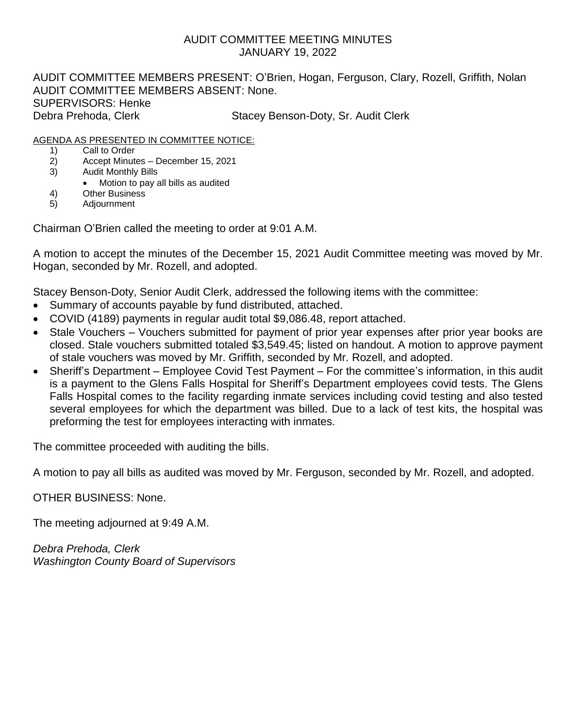## AUDIT COMMITTEE MEETING MINUTES JANUARY 19, 2022

AUDIT COMMITTEE MEMBERS PRESENT: O'Brien, Hogan, Ferguson, Clary, Rozell, Griffith, Nolan AUDIT COMMITTEE MEMBERS ABSENT: None. SUPERVISORS: Henke Debra Prehoda, Clerk Stacey Benson-Doty, Sr. Audit Clerk

### AGENDA AS PRESENTED IN COMMITTEE NOTICE:

- 1) Call to Order
- 2) Accept Minutes December 15, 2021
- 3) Audit Monthly Bills
	- Motion to pay all bills as audited
- 4) Other Business
- 5) Adjournment

Chairman O'Brien called the meeting to order at 9:01 A.M.

A motion to accept the minutes of the December 15, 2021 Audit Committee meeting was moved by Mr. Hogan, seconded by Mr. Rozell, and adopted.

Stacey Benson-Doty, Senior Audit Clerk, addressed the following items with the committee:

- Summary of accounts payable by fund distributed, attached.
- COVID (4189) payments in regular audit total \$9,086.48, report attached.
- Stale Vouchers Vouchers submitted for payment of prior year expenses after prior year books are closed. Stale vouchers submitted totaled \$3,549.45; listed on handout. A motion to approve payment of stale vouchers was moved by Mr. Griffith, seconded by Mr. Rozell, and adopted.
- Sheriff's Department Employee Covid Test Payment For the committee's information, in this audit is a payment to the Glens Falls Hospital for Sheriff's Department employees covid tests. The Glens Falls Hospital comes to the facility regarding inmate services including covid testing and also tested several employees for which the department was billed. Due to a lack of test kits, the hospital was preforming the test for employees interacting with inmates.

The committee proceeded with auditing the bills.

A motion to pay all bills as audited was moved by Mr. Ferguson, seconded by Mr. Rozell, and adopted.

OTHER BUSINESS: None.

The meeting adjourned at 9:49 A.M.

*Debra Prehoda, Clerk Washington County Board of Supervisors*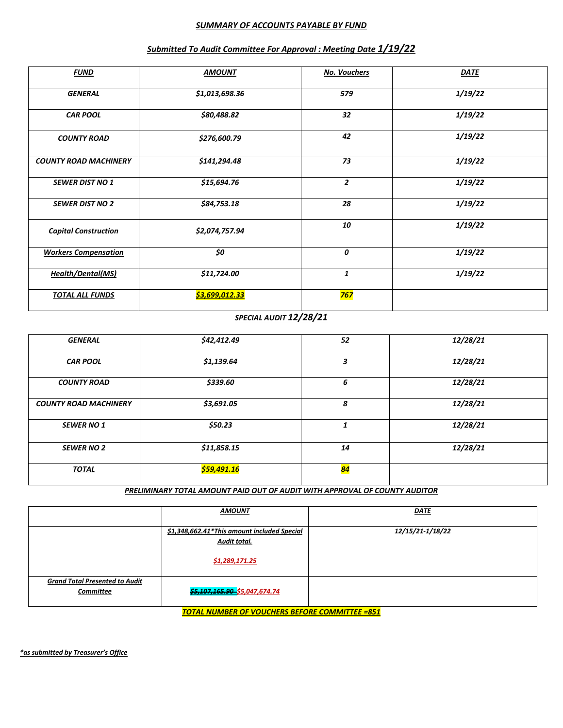#### *SUMMARY OF ACCOUNTS PAYABLE BY FUND*

| <b>FUND</b>                  | <b>AMOUNT</b>  | <b>No. Vouchers</b> | <b>DATE</b> |
|------------------------------|----------------|---------------------|-------------|
| <b>GENERAL</b>               | \$1,013,698.36 | 579                 | 1/19/22     |
| <b>CAR POOL</b>              | \$80,488.82    | 32                  | 1/19/22     |
| <b>COUNTY ROAD</b>           | \$276,600.79   | 42                  | 1/19/22     |
| <b>COUNTY ROAD MACHINERY</b> | \$141,294.48   | 73                  | 1/19/22     |
| <b>SEWER DIST NO 1</b>       | \$15,694.76    | $\overline{2}$      | 1/19/22     |
| <b>SEWER DIST NO 2</b>       | \$84,753.18    | 28                  | 1/19/22     |
| <b>Capital Construction</b>  | \$2,074,757.94 | 10                  | 1/19/22     |
| <b>Workers Compensation</b>  | \$0            | 0                   | 1/19/22     |
| <b>Health/Dental(MS)</b>     | \$11,724.00    | 1                   | 1/19/22     |
| <b>TOTAL ALL FUNDS</b>       | \$3,699,012.33 | <b>767</b>          |             |

#### *Submitted To Audit Committee For Approval : Meeting Date 1/19/22*

#### *SPECIAL AUDIT 12/28/21*

| <b>GENERAL</b>               | \$42,412.49        | 52              | 12/28/21 |
|------------------------------|--------------------|-----------------|----------|
| <b>CAR POOL</b>              | \$1,139.64         | 3               | 12/28/21 |
| <b>COUNTY ROAD</b>           | \$339.60           | 6               | 12/28/21 |
| <b>COUNTY ROAD MACHINERY</b> | \$3,691.05         | 8               | 12/28/21 |
| <b>SEWER NO 1</b>            | \$50.23            | 1               | 12/28/21 |
| <b>SEWER NO 2</b>            | \$11,858.15        | 14              | 12/28/21 |
| <b>TOTAL</b>                 | <u>\$59,491.16</u> | <mark>84</mark> |          |

*PRELIMINARY TOTAL AMOUNT PAID OUT OF AUDIT WITH APPROVAL OF COUNTY AUDITOR*

|                                                    | <b>AMOUNT</b>                                                                 | <b>DATE</b>      |
|----------------------------------------------------|-------------------------------------------------------------------------------|------------------|
|                                                    | \$1,348,662.41*This amount included Special<br>Audit total.<br>\$1,289,171.25 | 12/15/21-1/18/22 |
| <b>Grand Total Presented to Audit</b><br>Committee | \$5,107,165.90 \$5,047,674.74                                                 |                  |

*TOTAL NUMBER OF VOUCHERS BEFORE COMMITTEE =851*

*\*as submitted by Treasurer's Office*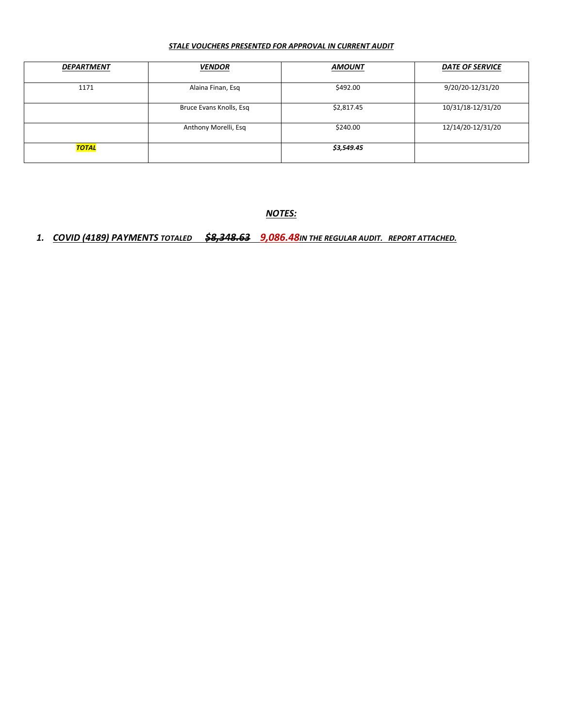#### *STALE VOUCHERS PRESENTED FOR APPROVAL IN CURRENT AUDIT*

| <b>DEPARTMENT</b> | <b>VENDOR</b>           | <b>AMOUNT</b> | <b>DATE OF SERVICE</b> |
|-------------------|-------------------------|---------------|------------------------|
| 1171              | Alaina Finan, Esq       | \$492.00      | 9/20/20-12/31/20       |
|                   | Bruce Evans Knolls, Esq | \$2,817.45    | 10/31/18-12/31/20      |
|                   | Anthony Morelli, Esq    | \$240.00      | 12/14/20-12/31/20      |
| <b>TOTAL</b>      |                         | \$3,549.45    |                        |

*NOTES:*

## *1. COVID (4189) PAYMENTS TOTALED \$8,348.63 9,086.48IN THE REGULAR AUDIT. REPORT ATTACHED.*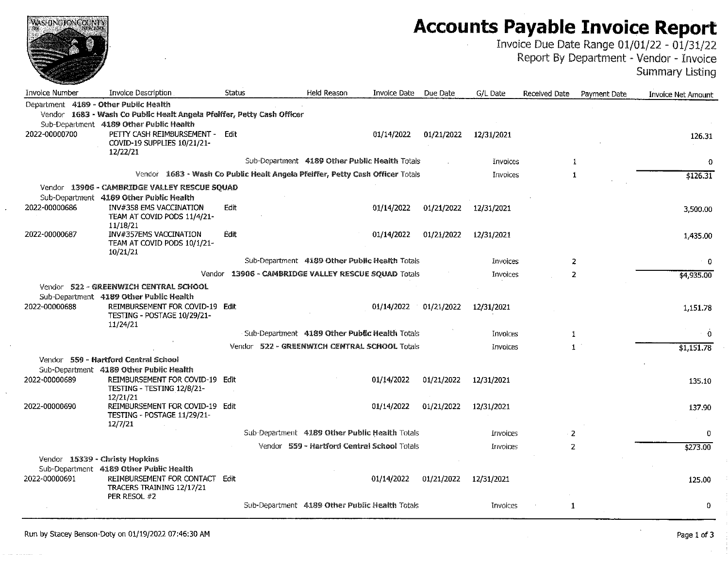| WASHINGTONGODNIE                      |                                                                                                                       |               |                                                |                     |            |                 |               |              | <b>Accounts Payable Invoice Report</b><br>Invoice Due Date Range 01/01/22 - 01/31/22<br>Report By Department - Vendor - Invoice<br><b>Summary Listing</b> |
|---------------------------------------|-----------------------------------------------------------------------------------------------------------------------|---------------|------------------------------------------------|---------------------|------------|-----------------|---------------|--------------|-----------------------------------------------------------------------------------------------------------------------------------------------------------|
| Invoice Number                        | Invoice Description                                                                                                   | <b>Status</b> | <b>Held Reason</b>                             | <b>Invoice Date</b> | Due Date   | G/L Date        | Received Date | Payment Date | Invoice Net Amount                                                                                                                                        |
| Department 4189 - Other Public Health | Vendor 1683 - Wash Co Public Healt Angela Pfelffer, Petty Cash Officer<br>Sub-Department 4189 Other Public Health     |               |                                                |                     |            |                 |               |              |                                                                                                                                                           |
| 2022-00000700                         | PETTY CASH REIMBURSEMENT - Edit<br>COVID-19 SUPPLIES 10/21/21-<br>12/22/21                                            |               |                                                | 01/14/2022          | 01/21/2022 | 12/31/2021      |               |              | 126.31                                                                                                                                                    |
|                                       |                                                                                                                       |               | Sub-Department 4189 Other Public Health Totals |                     |            | Invoices        | 1             |              | $\mathbf 0$                                                                                                                                               |
|                                       | Vendor 1683 - Wash Co Public Healt Angela Pfeiffer, Petty Cash Officer Totals                                         |               |                                                |                     |            | Invoices        | 1             |              | \$126.31                                                                                                                                                  |
|                                       | Vendor 13906 - CAMBRIDGE VALLEY RESCUE SQUAD                                                                          |               |                                                |                     |            |                 |               |              |                                                                                                                                                           |
| 2022-00000686                         | Sub-Department 4189 Other Public Health<br>INV#358 EMS VACCINATION<br>TEAM AT COVID PODS 11/4/21-                     | Edit          |                                                | 01/14/2022          | 01/21/2022 | 12/31/2021      |               |              | 3,500.00                                                                                                                                                  |
| 2022-00000687                         | 11/18/21<br><b>INV#357EMS VACCINATION</b><br>TEAM AT COVID PODS 10/1/21-                                              | Edit          |                                                | 01/14/2022          | 01/21/2022 | 12/31/2021      |               |              | 1,435.00                                                                                                                                                  |
|                                       | 10/21/21                                                                                                              |               | Sub-Department 4189 Other Public Health Totals |                     |            | Invoices        | 2             |              | - 0                                                                                                                                                       |
|                                       | Vendor                                                                                                                |               | 13906 - CAMBRIDGE VALLEY RESCUE SQUAD Totals   |                     |            | <b>Invoices</b> | 2             |              | \$4,935.00                                                                                                                                                |
|                                       | Vendor 522 - GREENWICH CENTRAL SCHOOL                                                                                 |               |                                                |                     |            |                 |               |              |                                                                                                                                                           |
| 2022-00000688                         | Sub-Department 4189 Other Public Health<br>REIMBURSEMENT FOR COVID-19 Edit<br>TESTING - POSTAGE 10/29/21-<br>11/24/21 |               |                                                | 01/14/2022          | 01/21/2022 | 12/31/2021      |               |              | 1,151.78                                                                                                                                                  |
|                                       |                                                                                                                       |               | Sub-Department 4189 Other Public Health Totals |                     |            | Invoices        | 1             |              | $\mathbf{0}$                                                                                                                                              |
|                                       |                                                                                                                       |               | Vendor 522 - GREENWICH CENTRAL SCHOOL Totals   |                     |            | Invoices        | $\mathbf{1}$  |              | \$1,151.78                                                                                                                                                |
|                                       | Vendor 559 - Hartford Central School                                                                                  |               |                                                |                     |            |                 |               |              |                                                                                                                                                           |
| 2022-00000689                         | Sub-Department 4189 Other Public Health<br>REIMBURSEMENT FOR COVID-19<br>TESTING - TESTING 12/8/21-                   | Edit          |                                                | 01/14/2022          | 01/21/2022 | 12/31/2021      |               |              | 135.10                                                                                                                                                    |
| 2022-00000690                         | 12/21/21<br>REIMBURSEMENT FOR COVID-19 Edit<br>TESTING - POSTAGE 11/29/21-<br>12/7/21                                 |               |                                                | 01/14/2022          | 01/21/2022 | 12/31/2021      |               |              | 137.90                                                                                                                                                    |
|                                       |                                                                                                                       |               | Sub-Department 4189 Other Public Health Totals |                     |            | Invoices        | 2             |              | 0                                                                                                                                                         |
|                                       |                                                                                                                       |               | Vendor 559 - Hartford Central School Totals    |                     |            | Invoices        | 2             |              | \$273.00                                                                                                                                                  |
|                                       | Vendor 15339 - Christy Hopkins                                                                                        |               |                                                |                     |            |                 |               |              |                                                                                                                                                           |
| 2022-00000691                         | Sub-Department 4189 Other Public Health<br>REIMBURSEMENT FOR CONTACT<br>TRACERS TRAINING 12/17/21                     | Edit          |                                                | 01/14/2022          | 01/21/2022 | 12/31/2021      |               |              | 125.00                                                                                                                                                    |
|                                       | PER RESOL #2                                                                                                          |               | Sub-Department 4189 Other Public Health Totals |                     |            | Invoices        | 1             |              | 0                                                                                                                                                         |

المحمدة

 $\ddot{\phantom{a}}$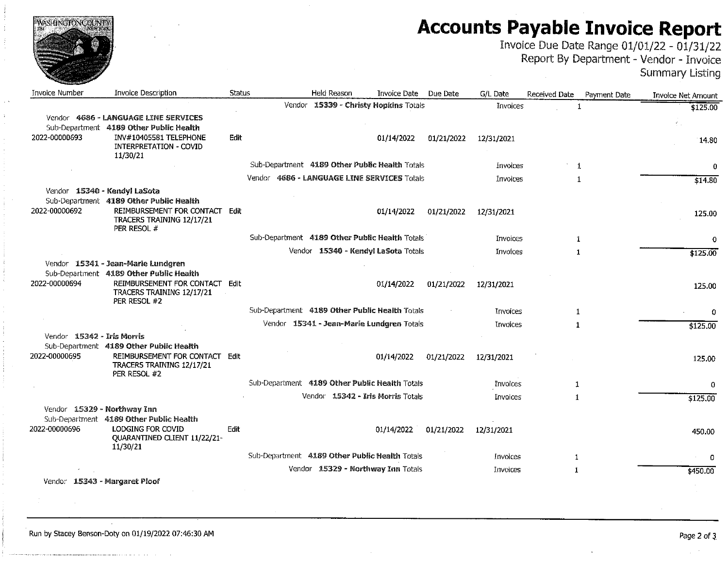| WASHINGTONCOUNTY           |                                                                                                                                                              |        |                                                |            |                 | <b>Accounts Payable Invoice Report</b><br>Invoice Due Date Range 01/01/22 - 01/31/22<br>Report By Department - Vendor - Invoice | <b>Summary Listing</b>    |
|----------------------------|--------------------------------------------------------------------------------------------------------------------------------------------------------------|--------|------------------------------------------------|------------|-----------------|---------------------------------------------------------------------------------------------------------------------------------|---------------------------|
| Invoice Number             | <b>Invoice Description</b>                                                                                                                                   | Status | Held Reason<br>Invoice Date                    | Due Date   | G/L Date        | Received Date<br>Payment Date                                                                                                   | <b>Invoice Net Amount</b> |
|                            |                                                                                                                                                              |        | Vendor 15339 - Christy Hopkins Totals          |            | Invoices        | 1                                                                                                                               | \$125.00                  |
|                            | Vendor 4686 - LANGUAGE LINE SERVICES                                                                                                                         |        |                                                |            |                 |                                                                                                                                 |                           |
| 2022-00000693              | Sub-Department 4189 Other Public Health<br>INV#10405581 TELEPHONE<br><b>INTERPRETATION - COVID</b>                                                           | Edit   | 01/14/2022                                     | 01/21/2022 | 12/31/2021      |                                                                                                                                 | 14.80                     |
|                            | 11/30/21                                                                                                                                                     |        | Sub-Department 4189 Other Public Health Totals |            | Invoices        | 1                                                                                                                               | 0                         |
|                            |                                                                                                                                                              |        | Vendor 4686 - LANGUAGE LINE SERVICES Totals    |            | Invoices        | 1                                                                                                                               | \$14.80                   |
|                            | Vendor 15340 - Kendyl LaSota                                                                                                                                 |        |                                                |            |                 |                                                                                                                                 |                           |
|                            | Sub-Department 4189 Other Public Health                                                                                                                      |        |                                                |            |                 |                                                                                                                                 |                           |
| 2022-00000692              | REIMBURSEMENT FOR CONTACT Edit<br>TRACERS TRAINING 12/17/21<br>PER RESOL #                                                                                   |        | 01/14/2022                                     | 01/21/2022 | 12/31/2021      |                                                                                                                                 | 125.00                    |
|                            |                                                                                                                                                              |        | Sub-Department 4189 Other Public Health Totals |            | Invoices        | 1                                                                                                                               | 0                         |
|                            |                                                                                                                                                              |        | Vendor 15340 - Kendyl LaSota Totals            |            | Invoices        | $\mathbf{1}$                                                                                                                    | \$125.00                  |
| 2022-00000694              | Vendor 15341 - Jean-Marie Lundgren<br>Sub-Department 4189 Other Public Health<br>REIMBURSEMENT FOR CONTACT Edit<br>TRACERS TRAINING 12/17/21<br>PER RESOL #2 |        | 01/14/2022                                     | 01/21/2022 | 12/31/2021      |                                                                                                                                 | 125.00                    |
|                            |                                                                                                                                                              |        | Sub-Department 4189 Other Public Health Totals |            | Invoices        | $\mathbf{1}$                                                                                                                    | 0                         |
|                            |                                                                                                                                                              |        | Vendor 15341 - Jean-Marie Lundgren Totals      |            | <b>Invoices</b> | $\mathbf{1}$                                                                                                                    | \$125.00                  |
| Vendor 15342 - Iris Morris | Sub-Department 4189 Other Public Health                                                                                                                      |        |                                                |            |                 |                                                                                                                                 |                           |
| 2022-00000695              | REIMBURSEMENT FOR CONTACT Edit<br>TRACERS TRAINING 12/17/21<br>PER RESOL #2                                                                                  |        | 01/14/2022                                     | 01/21/2022 | 12/31/2021      |                                                                                                                                 | 125.00                    |
|                            |                                                                                                                                                              |        | Sub-Department 4189 Other Public Health Totals |            | <b>Invoices</b> | $\mathbf{1}$                                                                                                                    | 0                         |
|                            |                                                                                                                                                              |        | Vendor 15342 - Iris Morris Totals              |            | Invoices        | $\mathbf{1}$                                                                                                                    | \$125.00                  |
| 2022-00000696              | Vendor 15329 - Northway Inn<br>Sub-Department 4189 Other Public Health<br>LODGING FOR COVID                                                                  | Edit   | 01/14/2022                                     | 01/21/2022 | 12/31/2021      |                                                                                                                                 | 450.00                    |
|                            | QUARANTINED CLIENT 11/22/21-<br>11/30/21                                                                                                                     |        |                                                |            |                 |                                                                                                                                 |                           |
|                            |                                                                                                                                                              |        | Sub-Department 4189 Other Public Health Totals |            | Invoices        | 1                                                                                                                               | 0                         |
|                            |                                                                                                                                                              |        | Vendor 15329 - Northway Inn Totals             |            | Invoices        | $\mathbf{1}$                                                                                                                    | \$450.00                  |
|                            | Vendor 15343 - Margaret Ploof                                                                                                                                |        |                                                |            |                 |                                                                                                                                 |                           |

manager and contract the con-

 $\sim 10^7$